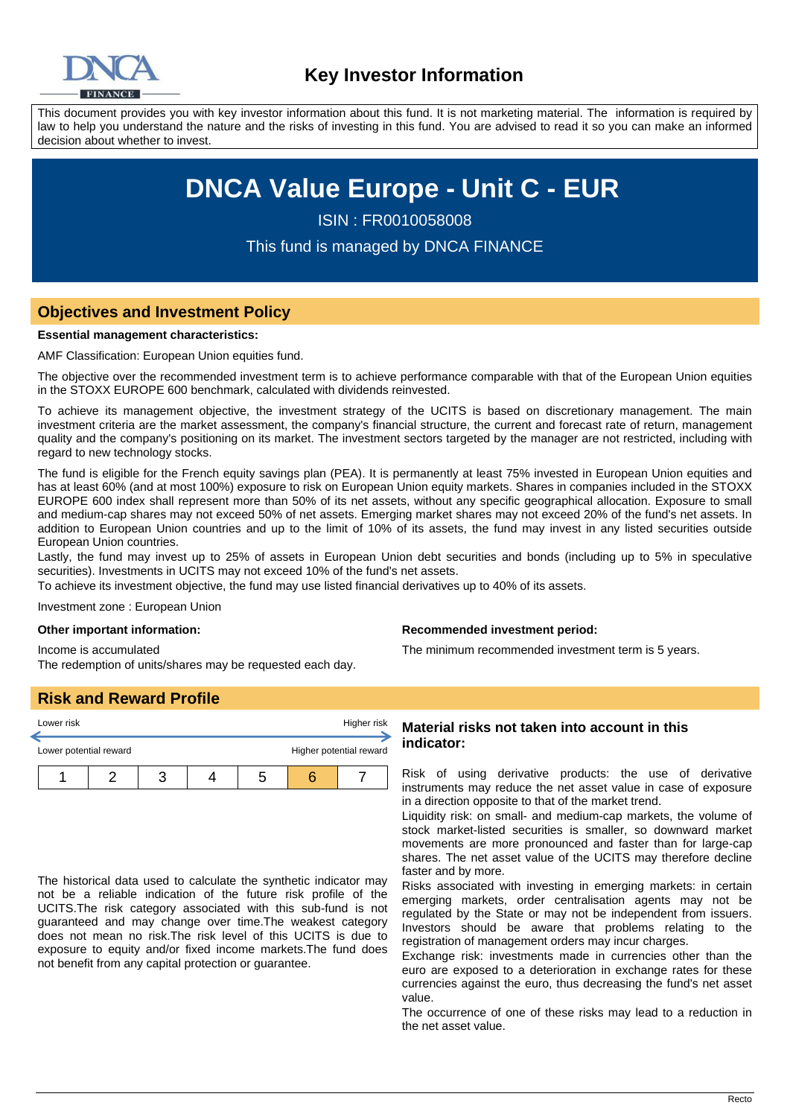

This document provides you with key investor information about this fund. It is not marketing material. The information is required by law to help you understand the nature and the risks of investing in this fund. You are advised to read it so you can make an informed decision about whether to invest.

# **DNCA Value Europe - Unit C - EUR**

ISIN : FR0010058008

This fund is managed by DNCA FINANCE

# **Objectives and Investment Policy**

#### **Essential management characteristics:**

AMF Classification: European Union equities fund.

The objective over the recommended investment term is to achieve performance comparable with that of the European Union equities in the STOXX EUROPE 600 benchmark, calculated with dividends reinvested.

To achieve its management objective, the investment strategy of the UCITS is based on discretionary management. The main investment criteria are the market assessment, the company's financial structure, the current and forecast rate of return, management quality and the company's positioning on its market. The investment sectors targeted by the manager are not restricted, including with regard to new technology stocks.

The fund is eligible for the French equity savings plan (PEA). It is permanently at least 75% invested in European Union equities and has at least 60% (and at most 100%) exposure to risk on European Union equity markets. Shares in companies included in the STOXX EUROPE 600 index shall represent more than 50% of its net assets, without any specific geographical allocation. Exposure to small and medium-cap shares may not exceed 50% of net assets. Emerging market shares may not exceed 20% of the fund's net assets. In addition to European Union countries and up to the limit of 10% of its assets, the fund may invest in any listed securities outside European Union countries.

Lastly, the fund may invest up to 25% of assets in European Union debt securities and bonds (including up to 5% in speculative securities). Investments in UCITS may not exceed 10% of the fund's net assets.

To achieve its investment objective, the fund may use listed financial derivatives up to 40% of its assets.

Investment zone : European Union

#### **Other important information:**

Income is accumulated The redemption of units/shares may be requested each day.

# **Risk and Reward Profile**

| Lower risk             |  |  | Higher risk |                         |
|------------------------|--|--|-------------|-------------------------|
| Lower potential reward |  |  |             | Higher potential reward |
|                        |  |  |             |                         |

The historical data used to calculate the synthetic indicator may not be a reliable indication of the future risk profile of the UCITS.The risk category associated with this sub-fund is not guaranteed and may change over time.The weakest category does not mean no risk.The risk level of this UCITS is due to exposure to equity and/or fixed income markets.The fund does not benefit from any capital protection or guarantee.

#### **Recommended investment period:**

The minimum recommended investment term is 5 years.

### **Material risks not taken into account in this indicator:**

Risk of using derivative products: the use of derivative instruments may reduce the net asset value in case of exposure in a direction opposite to that of the market trend.

Liquidity risk: on small- and medium-cap markets, the volume of stock market-listed securities is smaller, so downward market movements are more pronounced and faster than for large-cap shares. The net asset value of the UCITS may therefore decline faster and by more.

Risks associated with investing in emerging markets: in certain emerging markets, order centralisation agents may not be regulated by the State or may not be independent from issuers. Investors should be aware that problems relating to the registration of management orders may incur charges.

Exchange risk: investments made in currencies other than the euro are exposed to a deterioration in exchange rates for these currencies against the euro, thus decreasing the fund's net asset value.

The occurrence of one of these risks may lead to a reduction in the net asset value.